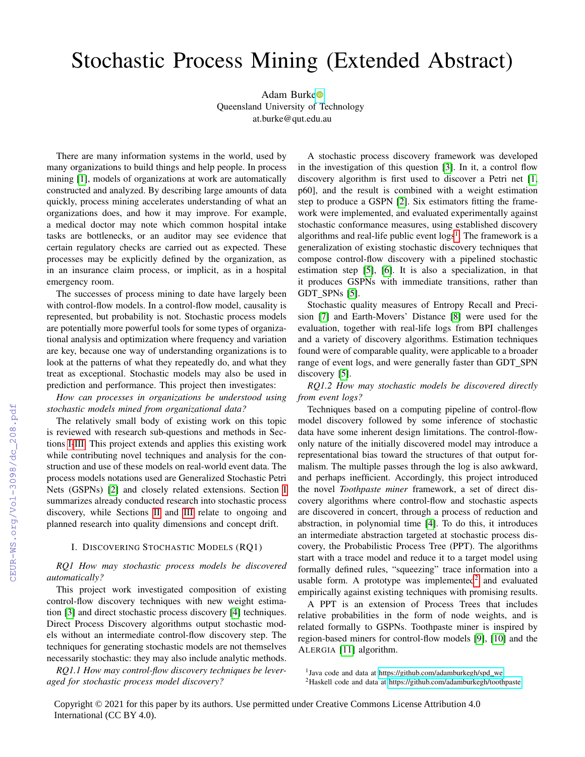# Stochastic Process Mining (Extended Abstract)

Adam Burk[e](https://orcid.org/0000-0003-4407-2199) Queensland University of Technology at.burke@qut.edu.au

There are many information systems in the world, used by many organizations to build things and help people. In process mining [\[1\]](#page--1-0), models of organizations at work are automatically constructed and analyzed. By describing large amounts of data quickly, process mining accelerates understanding of what an organizations does, and how it may improve. For example, a medical doctor may note which common hospital intake tasks are bottlenecks, or an auditor may see evidence that certain regulatory checks are carried out as expected. These processes may be explicitly defined by the organization, as in an insurance claim process, or implicit, as in a hospital emergency room.

The successes of process mining to date have largely been with control-flow models. In a control-flow model, causality is represented, but probability is not. Stochastic process models are potentially more powerful tools for some types of organizational analysis and optimization where frequency and variation are key, because one way of understanding organizations is to look at the patterns of what they repeatedly do, and what they treat as exceptional. Stochastic models may also be used in prediction and performance. This project then investigates:

*How can processes in organizations be understood using stochastic models mined from organizational data?*

The relatively small body of existing work on this topic is reviewed with research sub-questions and methods in Sections [I-](#page-0-0)[III.](#page--1-1) This project extends and applies this existing work while contributing novel techniques and analysis for the construction and use of these models on real-world event data. The process models notations used are Generalized Stochastic Petri Nets (GSPNs) [\[2\]](#page--1-2) and closely related extensions. Section [I](#page-0-0) summarizes already conducted research into stochastic process discovery, while Sections [II](#page--1-3) and [III](#page--1-1) relate to ongoing and planned research into quality dimensions and concept drift.

#### I. DISCOVERING STOCHASTIC MODELS (RQ1)

## <span id="page-0-0"></span>*RQ1 How may stochastic process models be discovered automatically?*

This project work investigated composition of existing control-flow discovery techniques with new weight estimation [\[3\]](#page--1-4) and direct stochastic process discovery [\[4\]](#page--1-5) techniques. Direct Process Discovery algorithms output stochastic models without an intermediate control-flow discovery step. The techniques for generating stochastic models are not themselves necessarily stochastic: they may also include analytic methods.

*RQ1.1 How may control-flow discovery techniques be leveraged for stochastic process model discovery?*

A stochastic process discovery framework was developed in the investigation of this question [\[3\]](#page--1-4). In it, a control flow discovery algorithm is first used to discover a Petri net [\[1,](#page--1-0) p60], and the result is combined with a weight estimation step to produce a GSPN [\[2\]](#page--1-2). Six estimators fitting the framework were implemented, and evaluated experimentally against stochastic conformance measures, using established discovery algorithms and real-life public event logs<sup>[1](#page-0-1)</sup>. The framework is a generalization of existing stochastic discovery techniques that compose control-flow discovery with a pipelined stochastic estimation step [\[5\]](#page--1-6), [\[6\]](#page--1-7). It is also a specialization, in that it produces GSPNs with immediate transitions, rather than GDT SPNs [\[5\]](#page--1-6).

Stochastic quality measures of Entropy Recall and Precision [\[7\]](#page--1-8) and Earth-Movers' Distance [\[8\]](#page--1-9) were used for the evaluation, together with real-life logs from BPI challenges and a variety of discovery algorithms. Estimation techniques found were of comparable quality, were applicable to a broader range of event logs, and were generally faster than GDT\_SPN discovery [\[5\]](#page--1-6).

*RQ1.2 How may stochastic models be discovered directly from event logs?*

Techniques based on a computing pipeline of control-flow model discovery followed by some inference of stochastic data have some inherent design limitations. The control-flowonly nature of the initially discovered model may introduce a representational bias toward the structures of that output formalism. The multiple passes through the log is also awkward, and perhaps inefficient. Accordingly, this project introduced the novel *Toothpaste miner* framework, a set of direct discovery algorithms where control-flow and stochastic aspects are discovered in concert, through a process of reduction and abstraction, in polynomial time [\[4\]](#page--1-5). To do this, it introduces an intermediate abstraction targeted at stochastic process discovery, the Probabilistic Process Tree (PPT). The algorithms start with a trace model and reduce it to a target model using formally defined rules, "squeezing" trace information into a usable form. A prototype was implemented<sup>[2](#page-0-2)</sup> and evaluated empirically against existing techniques with promising results.

A PPT is an extension of Process Trees that includes relative probabilities in the form of node weights, and is related formally to GSPNs. Toothpaste miner is inspired by region-based miners for control-flow models [\[9\]](#page--1-10), [\[10\]](#page--1-11) and the ALERGIA [\[11\]](#page--1-12) algorithm.

Copyright © 2021 for this paper by its authors. Use permitted under Creative Commons License Attribution 4.0 International (CC BY 4.0).

<span id="page-0-1"></span><sup>&</sup>lt;sup>1</sup>Java code and data at [https://github.com/adamburkegh/spd](https://github.com/adamburkegh/spd_we)\_we

<span id="page-0-2"></span><sup>&</sup>lt;sup>2</sup>Haskell code and data at<https://github.com/adamburkegh/toothpaste>